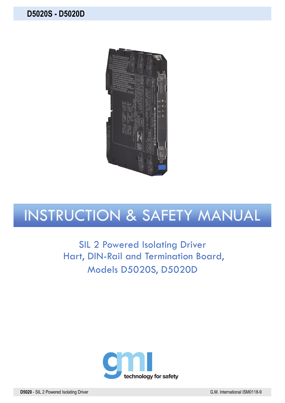

# INSTRUCTION & SAFETY MANUAL

SIL 2 Powered Isolating Driver Hart, DIN-Rail and Termination Board, Models D5020S, D5020D

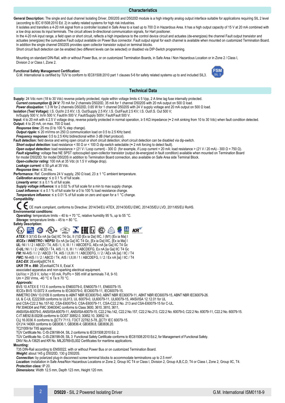**General Description:** The single and dual channel Isolating Driver, D5020S and D5020D module is a high integrity analog output interface suitable for applications requiring SIL 2 level (according to IEC 61508:2010 Ed. 2) in safety related systems for high risk industries.

**Characteristics** 

It isolates and transfers a 4-20 mA signal from a controller located in Safe Area to a load up to 700 Ω in Hazardous Area. It has a high output capacity of 15 V at 20 mA combined with a low drop across its input terminals. The circuit allows bi-directional communication signals, for Hart positioner.

In the 4-20 mA input range, a field open or short circuit, reflects a high impedance to the control device circuit and actuates (de-energizes) the channel Fault output transistor and actuates (energizes) the cumulative Fault output available on Power Bus connector. Fault output signal for each channel is available when mounted on customized Termination Board. In addition the single channel D5020S provides open collector transistor output on terminal blocks.

Short circuit fault detection can be enabled (two different levels can be selected) or disabled via DIP-Switch programming.

Mounting on standard DIN-Rail, with or without Power Bus, or on customized Termination Boards, in Safe Area / Non Hazardous Location or in Zone 2 / Class I, Division 2 or Class I, Zone 2.

## **Functional Safety Management Certification:**

G.M. International is certified by TUV to conform to IEC61508:2010 part 1 clauses 5-6 for safety related systems up to and included SIL3.



#### **Technical Data**  Supply: 24 Vdc nom (18 to 30 Vdc) reverse polarity protected, ripple within voltage limits ≤ 5 Vpp, 2 A time lag fuse internally protected. *Current consumption @ 24 V:* 70 mA for 2 channels D5020D, 35 mA for 1 channel D5020S with 20 mA output on 500 Ω load. *Power dissipation:* 1.3 W for 2 channels D5020D, 0.65 W for 1 channel D5020S with 24 V supply voltage and 20 mA output on 500 Ω load. **Isolation (Test Voltage):** I.S. Out/In 2.5 KV; I.S. Out/Supply 2.5 KV; I.S. Out/Fault 2.5 KV; I.S. Out/I.S. Out 500 V; In/Supply 500 V; In/In 500 V; Fault/In 500 V; Fault/Supply 500V; Fault/Fault 500 V. **Input:** 4 to 20 mA with ≤ 2.5 V voltage drop, reverse polarity protected in normal operation, ≥ 5 KΩ impedance (≈ 2 mA sinking from 10 to 30 Vdc) when fault condition detected. **Output:** 4 to 20 mA, on max. 700 Ω load. *Response time:* 25 ms (0 to 100 % step change). *Output ripple:* ≤ 20 mVrms on 250 Ω communication load on 0.5 to 2.5 KHz band. *Frequency response:* 0.5 to 2.5 KHz bidirectional within 3 dB (Hart protocol). **Fault detection:** field device and wiring open circuit or short circuit detection; short circuit detection can be disabled via dip-switch. **Short output detection:** load resistance < 50  $\Omega$  or < 100  $\Omega$  dip-switch selectable ( $\approx$  2 mA forcing to detect fault). *Open output detection:* load resistance > (21 V / Loop current) - 300 Ω (for example, if Loop current = 20 mA: load resistance > (21 V / 20 mA) - 300 Ω = 750 Ω). Fault signalling: voltage free NE SPST optocoupled open-collector transistor (output de-energized in fault condition) available when mounted on Termination Board for model D5020D; for model D5020S in addition to Termination Board connection, also available on Safe Area side Terminal Block. *Open-collector rating:* 100 mA at 35 Vdc (≤ 1.5 V voltage drop). *Leakage current:* ≤ 50 µA at 35 Vdc. *Response time:* ≤ 30 ms. **Performance:** Ref. Conditions 24 V supply, 250 Ω load, 23 ± 1 °C ambient temperature. *Calibration accuracy:*  $\leq \pm 0.1$  % of full scale. *Linearity error:*  $\leq \pm 0.1$  % of full scale *Supply voltage influence:* ≤ ± 0.02 % of full scale for a min to max supply change. **Load influence:**  $\leq \pm 0.1$  % of full scale for a 0 to 100 % load resistance change *Temperature influence:*  $\leq \pm 0.01$  % of full scale on zero and span for a 1 °C change. **Compatibility:**  CE mark compliant, conforms to Directive: 2014/34/EU ATEX, 2014/30/EU EMC, 2014/35/EU LVD, 2011/65/EU RoHS. **Environmental conditions:** *Operating:* temperature limits – 40 to + 70 °C, relative humidity 95 %, up to 55 °C. *Storage:* temperature limits – 45 to + 80 °C. **Safety Description:**   $\bullet$  . Or  $\circ$  is  $\overline{H}$  in  $\overline{N}$  $K\overline{R}$  $\langle \epsilon_{\mathsf{x}} \rangle$ **IECE**<sub>X</sub> *ATEX:* II 3(1)G Ex nA [ia Ga] IIC T4 Gc, II (1)D [Ex ia Da] IIIC, I (M1) [Ex ia Ma] I *IECEx / INMETRO / NEPSI:* Ex nA [ia Ga] IIC T4 Gc, [Ex ia Da] IIIC, [Ex ia Ma] I *UL:* NI / I / 2 / ABCD / T4, AIS / I, II, III / 1 / ABCDEFG, AEx nA [ia Ga] IIC T4 Gc *C-UL:* NI / I / 2 / ABCD / T4, AIS / I, II, III / 1 / ABCDEFG, Ex nA [ia Ga] IIC T4 Gc *FM:* NI-AIS / I / 2 / ABCD / T4, AIS / I,II,III / 1 / ABCDEFG, I / 2 / AEx nA [ia] / IIC / T4 *FMC:* NI-AIS / I / 2 / ABCD / T4, AIS / I,II,III / 1 / ABCDEFG, I / 2 / Ex nA [ia] / IIC / T4 *EAC-EX:* 2ExnA[ia]IICT4 X. *UKR TR n. 898:* 2ExnAiaIICT4 X, ExiaI X associated apparatus and non-sparking electrical equipment. Uo/Voc = 25.9 V, Io/Isc = 93 mA, Po/Po = 595 mW at terminals 7-8, 9-10. Um = 250 Vrms, -40 °C  $\leq$  Ta  $\leq$  70 °C. *Approvals:*  BVS 10 ATEX E 113 X conforms to EN60079-0, EN60079-11, EN60079-15. IECEx BVS 10.0072 X conforms to IEC60079-0, IEC60079-11, IEC60079-15. INMETRO DNV 13.0109 X conforms to ABNT NBR IEC60079-0, ABNT NBR IEC60079-11, ABNT NBR IEC60079-15, ABNT NBR IEC60079-26. UL & C-UL E222308 conforms to UL913, UL 60079-0, UL60079-11, UL60079-15, ANSI/ISA 12.12.01 for UL and CSA-C22.2 No.157-92, CSA-E60079-0, CSA-E60079-11, CSA-C22.2 No. 213 and CSA-E60079-15 for C-UL. FM 3046304 and FMC 3046304C conforms to Class 3600, 3610, 3810, 3611, ANSI/ISA-60079-0, ANSI/ISA-60079-11, ANSI/ISA-60079-15, C22.2 No.142, C22.2 No.157, C22.2 No.213, C22.2 No. 60079-0, C22.2 No. 60079-11, C22.2 No. 60079-15. C-IT.ME92.B.00206 conforms to GOST 30852.0, 30852.10, 30852.14. CЦ 16.0036 X conforms to ДСТУ 7113, ГОСТ 22782.5-78, ДСТУ IЕС 60079-15. GYJ14.1406X conforms to GB3836.1, GB3836.4; GB3836.8, GB3836.20. TC21009 for TIIS approval. TÜV Certificate No. C-IS-236198-04, SIL 2 conforms to IEC61508:2010 Ed. 2. TÜV Certificate No. C-IS-236198-09, SIL 3 Functional Safety Certificate conforms to IEC61508:2010 Ed.2, for Management of Functional Safety. DNV No.A-13625 and KR No. MIL20769-EL002 Certificates for maritime applications. **Mounting:**  T35 DIN-Rail according to EN50022, with or without Power Bus or on customized Termination Board. *Weight:* about 145 g D5020D, 130 g D5020S. *Connection:* by polarized plug-in disconnect screw terminal blocks to accommodate terminations up to 2.5 mm2. Location: installation in Safe Area/Non Hazardous Locations or Zone 2, Group IIC T4 or Class I, Division 2, Group A,B,C,D, T4 or Class I, Zone 2, Group IIC, T4. *Protection class:* IP 20.

*Dimensions:* Width 12.5 mm, Depth 123 mm, Height 120 mm.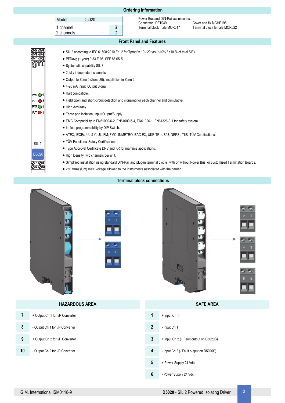|                                                          |                                   |                                                                                                                                                                        |        | <b>Ordering Information</b>                                                                           |                                                       |  |
|----------------------------------------------------------|-----------------------------------|------------------------------------------------------------------------------------------------------------------------------------------------------------------------|--------|-------------------------------------------------------------------------------------------------------|-------------------------------------------------------|--|
|                                                          | Model:<br>1 channel<br>2 channels | D <sub>5020</sub>                                                                                                                                                      | S<br>D | Power Bus and DIN-Rail accessories:<br>Connector JDFT049<br>Terminal block male MOR017                | Cover and fix MCHP196<br>Terminal block female MOR022 |  |
|                                                          |                                   |                                                                                                                                                                        |        | <b>Front Panel and Features</b>                                                                       |                                                       |  |
| 129 Q 6<br>$\frac{\frac{8384}{8182}}{\frac{9102}{9111}}$ |                                   | • PFDavg (1 year) 9.33 E-05, SFF 86.65 %.<br>• Systematic capability SIL 3<br>• 2 fully independent channels.<br>• Output to Zone 0 (Zone 20), installation in Zone 2. |        | • SIL 2 according to IEC 61508:2010 Ed. 2 for Tproof = 10 / 20 yrs $(\leq 10\%$ />10 % of total SIF). |                                                       |  |

- 4-20 mA Input, Output Signal.
- Hart compatible.
- Field open and short circuit detection and signaling for each channel and cumulative.
- $\bullet$  High Accuracy.
- Three port isolation, Input/Output/Supply.
- EMC Compatibility to EN61000-6-2, EN61000-6-4, EN61326-1, EN61326-3-1 for safety system.
- In-field programmability by DIP Switch.
- ATEX, IECEx, UL & C-UL, FM, FMC, INMETRO, EAC-EX, UKR TR n. 898, NEPSI, TIIS, TÜV Certifications.
- TÜV Functional Safety Certification.

SIL 2

D5020

 $PWR$   $2$  $FLT$   $\bigcirc$  2 **PWR**O1 FLT <sup>1</sup>

- Type Approval Certificate DNV and KR for maritime applications.
- High Density, two channels per unit.
- Simplified installation using standard DIN-Rail and plug-in terminal blocks, with or without Power Bus, or customized Termination Boards.
- 250 Vrms (Um) max. voltage allowed to the instruments associated with the barrier.







|    | <b>HAZARDOUS AREA</b>           |                                              | <b>SAFE AREA</b>                        |  |
|----|---------------------------------|----------------------------------------------|-----------------------------------------|--|
| 7  | + Output Ch 1 for I/P Converter | $\overline{1}$                               | + Input Ch 1                            |  |
| 8  | - Output Ch 1 for I/P Converter | $\overline{2}$                               | - Input Ch 1                            |  |
| 9  | + Output Ch 2 for I/P Converter | 3                                            | + Input Ch 2 (+ Fault output on D5020S) |  |
| 10 | - Output Ch 2 for I/P Converter | 4<br>- Input Ch 2 (- Fault output on D5020S) |                                         |  |
|    |                                 | $5\phantom{.0}$                              | + Power Supply 24 Vdc                   |  |
|    |                                 | $6\phantom{1}$                               | - Power Supply 24 Vdc                   |  |

 $10$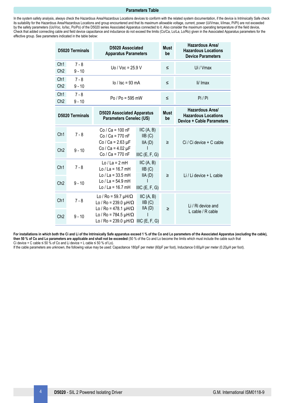## **Parameters Table**

In the system safety analysis, always check the Hazardous Area/Hazardous Locations devices to conform with the related system documentation, if the device is Intrinsically Safe check its suitability for the Hazardous Area/Hazardous Locations and group encountered and that its maximum allowable voltage, current, power (Ui/Vmax, Ii/Imax, Pi/Pi) are not exceeded by the safety parameters (Uo/Voc, Io/Isc, Po/Po) of the D5020 series Associated Apparatus connected to it. Also consider the maximum operating temperature of the field device, Check that added connecting cable and field device capacitance and inductance do not exceed the limits (Co/Ca, Lo/La, Lo/Ro) given in the Associated Apparatus parameters for the effective group. See parameters indicated in the table below:

|                                    | <b>D5020 Terminals</b> | D5020 Associated<br><b>Apparatus Parameters</b>                                                            |                                         | <b>Must</b><br>be | <b>Hazardous Areal</b><br><b>Hazardous Locations</b><br><b>Device Parameters</b>  |  |  |
|------------------------------------|------------------------|------------------------------------------------------------------------------------------------------------|-----------------------------------------|-------------------|-----------------------------------------------------------------------------------|--|--|
| Ch <sub>1</sub><br>Ch <sub>2</sub> | $7 - 8$<br>$9 - 10$    | Uo / Voc = $25.9$ V                                                                                        |                                         | $\leq$            | Ui / Vmax                                                                         |  |  |
| Ch <sub>1</sub><br>Ch <sub>2</sub> | $7 - 8$<br>$9 - 10$    | $\log$ / $\sec$ = 93 mA                                                                                    |                                         | ≤                 | li/ Imax                                                                          |  |  |
| Ch <sub>1</sub><br>Ch <sub>2</sub> | $7 - 8$<br>$9 - 10$    | $Po / Po = 595 mW$                                                                                         |                                         | $\leq$            | Pi / Pi                                                                           |  |  |
| <b>D5020 Terminals</b>             |                        | <b>D5020 Associated Apparatus</b><br><b>Parameters Cenelec (US)</b>                                        |                                         | <b>Must</b><br>be | Hazardous Area/<br><b>Hazardous Locations</b><br><b>Device + Cable Parameters</b> |  |  |
| Ch <sub>1</sub>                    | $7 - 8$                | $Co / Ca = 100 nF$<br>Co / Ca = 770 nF<br>$Co / Ca = 2.63 \mu F$                                           | IIC(A, B)<br>IIB(C)<br>IIA(D)           | ≥                 | Ci / Ci device + C cable                                                          |  |  |
| Ch <sub>2</sub>                    | $9 - 10$               | Co / Ca = $4.02 \mu F$<br>$Co / Ca = 770 nF$                                                               | IIC(E, F, G)                            |                   |                                                                                   |  |  |
| Ch <sub>1</sub>                    | $7 - 8$                | $Lo / La = 2 mH$<br>Lo / La = $16.7$ mH<br>$Lo / La = 33.5 mH$                                             | IIC(A, B)<br>IIB(C)<br>IIA(D)           | ≥                 | Li / Li device + L cable                                                          |  |  |
| Ch <sub>2</sub>                    | $9 - 10$               | Lo / La = $54.9$ mH<br>Lo / La = $16.7$ mH                                                                 | IIC(E, F, G)                            |                   |                                                                                   |  |  |
| Ch <sub>1</sub>                    | $7 - 8$                | Lo / Ro = 59.7 $\mu$ H/ $\Omega$<br>Lo / Ro = 239.0 $\mu$ H/ $\Omega$<br>Lo / Ro = 478.1 $\mu$ H/ $\Omega$ | $\text{IIC}$ (A, B)<br>IIB(C)<br>IIA(D) |                   | Li / Ri device and                                                                |  |  |
| Ch <sub>2</sub>                    | $9 - 10$               | Lo / Ro = 784.5 $\mu$ H/ $\Omega$<br>Lo / Ro = 239.0 $\mu$ H/ $\Omega$ IIIC (E, F, G)                      |                                         | ≥                 | L cable / R cable                                                                 |  |  |

For installations in which both the Ci and Li of the Intrinsically Safe apparatus exceed 1 % of the Co and Lo parameters of the Associated Apparatus (excluding the cable), **then 50 % of Co and Lo parameters are applicable and shall not be exceeded** (50 % of the Co and Lo become the limits which must include the cable such that Ci device + C cable  $\leq 50$  % of Co and Li device + L cable  $\leq 50$  % of Lo).

If the cable parameters are unknown, the following value may be used: Capacitance 180pF per meter (60pF per foot), Inductance 0.60µH per meter (0.20µH per foot).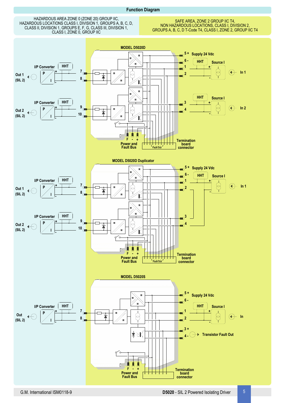## **Function Diagram**

HAZARDOUS AREA ZONE 0 (ZONE 20) GROUP IIC, HAZARDOUS LOCATIONS CLASS I, DIVISION 1, GROUPS A, B, C, D, CLASS II, DIVISION 1, GROUPS E, F, G, CLASS III, DIVISION 1, CLASS I, ZONE 0, GROUP IIC

SAFE AREA, ZONE 2 GROUP IIC T4, NON HAZARDOUS LOCATIONS, CLASS I, DIVISION 2, GROUPS A, B, C, D T-Code T4, CLASS I, ZONE 2, GROUP IIC T4

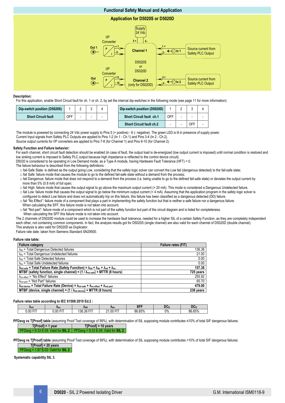# **Functional Safety Manual and Application**

## **Application for D5020S or D5020D**



## **Description:**

For this application, enable Short Circuit fault for ch. 1 or ch. 2, by set the internal dip-switches in the following mode (see page 11 for more information):

| Dip-switch position (D5020S) |     |  | Dip-switch position (D5020D)    |     |  |  |
|------------------------------|-----|--|---------------------------------|-----|--|--|
| <b>Short Circuit fault</b>   | OFF |  | <b>Short Circuit fault ch.1</b> | OFF |  |  |
|                              |     |  |                                 |     |  |  |

 The module is powered by connecting 24 Vdc power supply to Pins 5 (+ positive) - 6 (- negative). The green LED is lit in presence of supply power. **Short Circuit fault ch.2**  $\vert \cdot \vert$  -  $\vert$  OFF  $\vert$  -

Current Input signals from Safety PLC Outputs are applied to Pins 1-2 (In 1 - Ch.1) and Pins 3-4 (In 2 - Ch.2). Source output currents for I/P converters are applied to Pins 7-8 (for Channel 1) and Pins 9-10 (for Channel 2).

#### **Safety Function and Failure behavior:**

For each channel, short circuit fault detection should be enabled (in case of fault, the output load is de-energized (low output current is imposed) until normal condition is restored and low sinking current is imposed to Safety PLC output because high impedance is reflected to the control device circuit).

D5020 is considered to be operating in Low Demand mode, as a Type A module, having Hardware Fault Tolerance (HFT) = 0.

- The failure behaviour is described from the following definitions :
	- □ fail-Safe State: is defined as the output going Low, considering that the safety logic solver can convert the Low fail (dangerous detected) to the fail-safe state;
	- □ fail Safe: failure mode that causes the module to go to the defined fail-safe state without a demand from the process;
	- □ fail Dangerous: failure mode that does not respond to a demand from the process (i.e. being unable to go to the defined fail-safe state) or deviates the output current by more than 5% (0.8 mA) of full span:

□ fail High: failure mode that causes the output signal to go above the maximum output current (> 20 mA). This mode is considered a Dangerous Undetected failure.  $\Box$  fail Low: failure mode that causes the output signal to go below the minimum output current  $($ < 4 mA). Assuming that the application program in the safety logic solver is

configured to detect Low failure and does not automatically trip on this failure, this failure has been classified as a dangerous detected (DD) failure.

□ fail "No Effect": failure mode of a component that plays a part in implementing the safety function but that is neither a safe failure nor a dangerous failure.

- 
- When calculating the SFF, this failure mode is not taken into account;
- $\Box$  fail "Not part": failure mode of a component which is not part of the safety function but part of the circuit diagram and is listed for completeness.
- When calculating the SFF this failure mode is not taken into account.

The 2 channels of D5020D module could be used to increase the hardware fault tolerance, needed for a higher SIL of a certain Safety Function, as they are completely independent each other, not containing common components. In fact, the analysis results got for D5020S (single channel) are also valid for each channel of D5020D (double channel). This analysis is also valid for D5020D as Duplicator.

Failure rate date: taken from Siemens Standard SN29500.

## **Failure rate table:**

| <b>Failure category</b>                                                                                                                                            | Failure rates (FIT) |
|--------------------------------------------------------------------------------------------------------------------------------------------------------------------|---------------------|
| $\lambda_{dd}$ = Total Dangerous Detected failures                                                                                                                 | 136.38              |
| $\lambda_{du}$ = Total Dangerous Undetected failures                                                                                                               | 21.00               |
| $\lambda_{sd}$ = Total Safe Detected failures                                                                                                                      | 0.00                |
| $\lambda_{\text{su}}$ = Total Safe Undetected failures                                                                                                             | 0.00                |
| $\lambda_{\text{tot safe}}$ = Total Failure Rate (Safety Function) = $\lambda_{\text{dd}}$ + $\lambda_{\text{dd}}$ + $\lambda_{\text{sd}}$ + $\lambda_{\text{su}}$ | 157.38              |
| MTBF (safety function, single channel) = $(1 / \lambda_{\text{tot safe}})$ + MTTR (8 hours)                                                                        | 725 years           |
| $\lambda_{\text{no effect}}$ = "No Effect" failures                                                                                                                | 255.92              |
| $\lambda_{\text{not part}}$ = "Not Part" failures                                                                                                                  | 65.70               |
| $\lambda$ tot device = Total Failure Rate (Device) = $\lambda$ tot safe + $\lambda$ no effect + $\lambda$ not part                                                 | 479.00              |
| MTBF (device, single channel) = $(1 / \lambda_{tot\, device})$ + MTTR (8 hours)                                                                                    | 238 years           |

#### **Failure rates table according to IEC 61508:2010 Ed.2 :**

| <b>Asd</b>  | ∧su                  | <b>Adu</b><br><b>Add</b>        |                            | $\mathbf{A}$<br>æЕ |    |                        |  |
|-------------|----------------------|---------------------------------|----------------------------|--------------------|----|------------------------|--|
| $-1$<br>.00 | $-$<br>$\sim$<br>. . | $-$<br>ാറ<br>ା 26<br>. 30<br>ບບ | $-$<br>.00<br>$\mathbf{a}$ | 86 65%<br>. п      | 0% | GEO/<br>86<br>$\prime$ |  |

PFDavg vs T[Proof] table (assuming Proof Test coverage of 99%), with determination of SIL supposing module contributes ≤10% of total SIF dangerous failures:

**T[Proof] = 1 year T[Proof] = 10 years** PFDavg = 9.33 E-05 Valid for **SIL 2** PFDavg = 9.33 E-04 Valid for **SIL 2**

**PFDavg vs T[Proof] table** (assuming Proof Test coverage of 99%), with determination of SIL supposing module contributes >10% of total SIF dangerous failures: **T[Proof] = 20 years**

PFDavg = 1.87 E-03 Valid for **SIL 2**

**Systematic capability SIL 3.**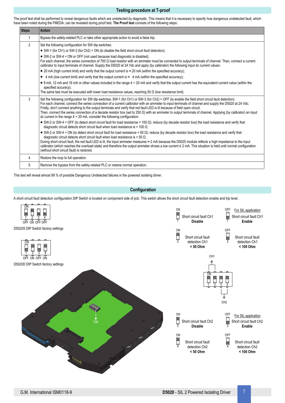# **Testing procedure at T-proof**

The proof test shall be performed to reveal dangerous faults which are undetected by diagnostic. This means that it is necessary to specify how dangerous undetected fault, which have been noted during the FMEDA, can be revealed during proof test. **The Proof test** consists of the following steps:

| <b>Steps</b>   | <b>Action</b>                                                                                                                                                                                                                                                                                                                                                                                                                                                                                                                                                                                                                                                                                      |  |  |  |  |  |  |  |
|----------------|----------------------------------------------------------------------------------------------------------------------------------------------------------------------------------------------------------------------------------------------------------------------------------------------------------------------------------------------------------------------------------------------------------------------------------------------------------------------------------------------------------------------------------------------------------------------------------------------------------------------------------------------------------------------------------------------------|--|--|--|--|--|--|--|
|                | Bypass the safety-related PLC or take other appropriate action to avoid a false trip.                                                                                                                                                                                                                                                                                                                                                                                                                                                                                                                                                                                                              |  |  |  |  |  |  |  |
| $\overline{2}$ | Set the following configuration for SW dip-switches:                                                                                                                                                                                                                                                                                                                                                                                                                                                                                                                                                                                                                                               |  |  |  |  |  |  |  |
|                | • SW-1 (for Ch1) or SW-3 (for Ch2) = ON (to disable the field short circuit fault detection);                                                                                                                                                                                                                                                                                                                                                                                                                                                                                                                                                                                                      |  |  |  |  |  |  |  |
|                | • SW-2 or SW-4 = ON or OFF (not used because load diagnostic is disabled).<br>For each channel, the series connection of 700 $\Omega$ load resistor with an ammeter must be connected to output terminals of channel. Then, connect a current<br>calibrator to input terminals of channel. Supply the D5020 at 24 Vdc and apply (by calibrator) the following input dc current values:                                                                                                                                                                                                                                                                                                             |  |  |  |  |  |  |  |
|                | • 20 mA (high current limit) and verify that the output current is $\approx$ 20 mA (within the specified accuracy);                                                                                                                                                                                                                                                                                                                                                                                                                                                                                                                                                                                |  |  |  |  |  |  |  |
|                | • 4 mA (low current limit) and verify that the output current is $\approx$ 4 mA (within the specified accuracy);                                                                                                                                                                                                                                                                                                                                                                                                                                                                                                                                                                                   |  |  |  |  |  |  |  |
|                | • 8 mA, 12 mA and 16 mA or other values included in the range 4 ÷ 20 mA and verify that the output current has the equivalent current value (within the<br>specified accuracy).                                                                                                                                                                                                                                                                                                                                                                                                                                                                                                                    |  |  |  |  |  |  |  |
|                | The same test must be executed with lower load resistance values, reaching 50 $\Omega$ (low resistance limit).                                                                                                                                                                                                                                                                                                                                                                                                                                                                                                                                                                                     |  |  |  |  |  |  |  |
| 3              | Set the following configuration for SW dip-switches: SW-1 (for Ch1) or SW-3 (for Ch2) = OFF (to enable the field short circuit fault detection).<br>For each channel, connect the series connection of a current calibrator with an ammeter to input terminals of channel and supply the D5020 at 24 Vdc.<br>Firstly, don't connect anything to the output terminals and verify that red fault LED is lit because of field open circuit.<br>Then, connect the series connection of a decade resistor box (set to 250 $\Omega$ ) with an ammeter to output terminals of channel. Applying (by calibrator) an input<br>dc current in the range $4 \div 20$ mA, consider the following configuration: |  |  |  |  |  |  |  |
|                | • SW-2 or SW-4 = OFF (to detect short circuit fault for load resistance < 100 $\Omega$ ): reduce (by decade resistor box) the load resistance and verify that<br>diagnostic circuit detects short circuit fault when load resistance is < 100 $\Omega$ ;                                                                                                                                                                                                                                                                                                                                                                                                                                           |  |  |  |  |  |  |  |
|                | • SW-2 or SW-4 = ON (to detect short circuit fault for load resistance < 50 $\Omega$ ): reduce (by decade resistor box) the load resistance and verify that<br>diagnostic circuit detects short circuit fault when load resistance is $<$ 50 $\Omega$ ;<br>During short circuit fault, the red fault LED is lit, the input ammeter measures ≈ 2 mA because the D5020 module reflects a high impedance to the input<br>calibrator (which reaches the overload state) and therefore the output ammeter shows a low current ≤ 2 mA. This situation is held until normal configuration<br>(without short circuit fault) is restored.                                                                   |  |  |  |  |  |  |  |
| 4              | Restore the loop to full operation.                                                                                                                                                                                                                                                                                                                                                                                                                                                                                                                                                                                                                                                                |  |  |  |  |  |  |  |
| 5              | Remove the bypass from the safety-related PLC or restore normal operation.                                                                                                                                                                                                                                                                                                                                                                                                                                                                                                                                                                                                                         |  |  |  |  |  |  |  |

This test will reveal almost 99 % of possible Dangerous Undetected failures in the powered isolating driver.

# **Configuration**

A short circuit fault detection configuration DIP Switch is located on component side of pcb. This switch allows the short circuit fault detection enable and trip level.